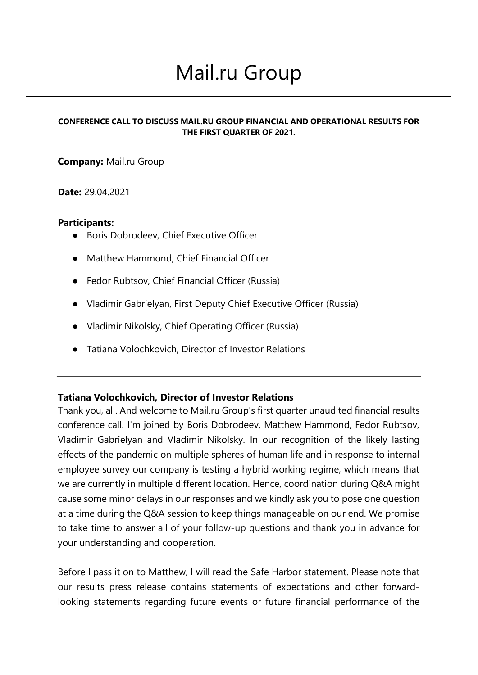# Mail.ru Group

#### **CONFERENCE CALL TO DISCUSS MAIL.RU GROUP FINANCIAL AND OPERATIONAL RESULTS FOR THE FIRST QUARTER OF 2021.**

## **Company:** Mail.ru Group

#### **Date:** 29.04.2021

#### **Participants:**

- Boris Dobrodeev, Chief Executive Officer
- Matthew Hammond, Chief Financial Officer
- Fedor Rubtsov, Chief Financial Officer (Russia)
- Vladimir Gabrielyan, First Deputy Chief Executive Officer (Russia)
- Vladimir Nikolsky, Chief Operating Officer (Russia)
- Tatiana Volochkovich, Director of Investor Relations

#### **Tatiana Volochkovich, Director of Investor Relations**

Thank you, all. And welcome to Mail.ru Group's first quarter unaudited financial results conference call. I'm joined by Boris Dobrodeev, Matthew Hammond, Fedor Rubtsov, Vladimir Gabrielyan and Vladimir Nikolsky. In our recognition of the likely lasting effects of the pandemic on multiple spheres of human life and in response to internal employee survey our company is testing a hybrid working regime, which means that we are currently in multiple different location. Hence, coordination during Q&A might cause some minor delays in our responses and we kindly ask you to pose one question at a time during the Q&A session to keep things manageable on our end. We promise to take time to answer all of your follow-up questions and thank you in advance for your understanding and cooperation.

Before I pass it on to Matthew, I will read the Safe Harbor statement. Please note that our results press release contains statements of expectations and other forwardlooking statements regarding future events or future financial performance of the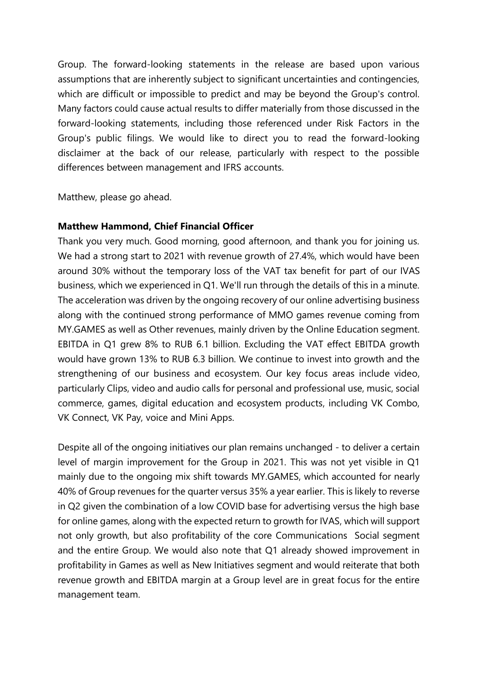Group. The forward-looking statements in the release are based upon various assumptions that are inherently subject to significant uncertainties and contingencies, which are difficult or impossible to predict and may be beyond the Group's control. Many factors could cause actual results to differ materially from those discussed in the forward-looking statements, including those referenced under Risk Factors in the Group's public filings. We would like to direct you to read the forward-looking disclaimer at the back of our release, particularly with respect to the possible differences between management and IFRS accounts.

Matthew, please go ahead.

## **Matthew Hammond, Chief Financial Officer**

Thank you very much. Good morning, good afternoon, and thank you for joining us. We had a strong start to 2021 with revenue growth of 27.4%, which would have been around 30% without the temporary loss of the VAT tax benefit for part of our IVAS business, which we experienced in Q1. We'll run through the details of this in a minute. The acceleration was driven by the ongoing recovery of our online advertising business along with the continued strong performance of MMO games revenue coming from MY.GAMES as well as Other revenues, mainly driven by the Online Education segment. EBITDA in Q1 grew 8% to RUB 6.1 billion. Excluding the VAT effect EBITDA growth would have grown 13% to RUB 6.3 billion. We continue to invest into growth and the strengthening of our business and ecosystem. Our key focus areas include video, particularly Clips, video and audio calls for personal and professional use, music, social commerce, games, digital education and ecosystem products, including VK Combo, VK Connect, VK Pay, voice and Mini Apps.

Despite all of the ongoing initiatives our plan remains unchanged - to deliver a certain level of margin improvement for the Group in 2021. This was not yet visible in Q1 mainly due to the ongoing mix shift towards MY.GAMES, which accounted for nearly 40% of Group revenues for the quarter versus 35% a year earlier. This is likely to reverse in Q2 given the combination of a low COVID base for advertising versus the high base for online games, along with the expected return to growth for IVAS, which will support not only growth, but also profitability of the core Communications Social segment and the entire Group. We would also note that Q1 already showed improvement in profitability in Games as well as New Initiatives segment and would reiterate that both revenue growth and EBITDA margin at a Group level are in great focus for the entire management team.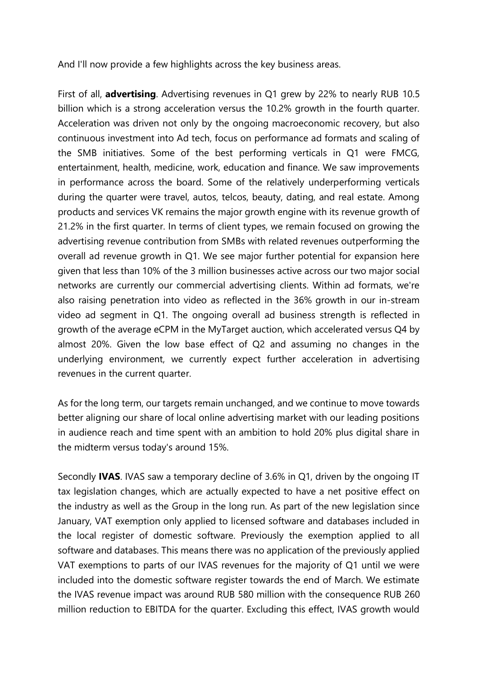And I'll now provide a few highlights across the key business areas.

First of all, **advertising**. Advertising revenues in Q1 grew by 22% to nearly RUB 10.5 billion which is a strong acceleration versus the 10.2% growth in the fourth quarter. Acceleration was driven not only by the ongoing macroeconomic recovery, but also continuous investment into Ad tech, focus on performance ad formats and scaling of the SMB initiatives. Some of the best performing verticals in Q1 were FMCG, entertainment, health, medicine, work, education and finance. We saw improvements in performance across the board. Some of the relatively underperforming verticals during the quarter were travel, autos, telcos, beauty, dating, and real estate. Among products and services VK remains the major growth engine with its revenue growth of 21.2% in the first quarter. In terms of client types, we remain focused on growing the advertising revenue contribution from SMBs with related revenues outperforming the overall ad revenue growth in Q1. We see major further potential for expansion here given that less than 10% of the 3 million businesses active across our two major social networks are currently our commercial advertising clients. Within ad formats, we're also raising penetration into video as reflected in the 36% growth in our in-stream video ad segment in Q1. The ongoing overall ad business strength is reflected in growth of the average eCPM in the MyTarget auction, which accelerated versus Q4 by almost 20%. Given the low base effect of Q2 and assuming no changes in the underlying environment, we currently expect further acceleration in advertising revenues in the current quarter.

As for the long term, our targets remain unchanged, and we continue to move towards better aligning our share of local online advertising market with our leading positions in audience reach and time spent with an ambition to hold 20% plus digital share in the midterm versus today's around 15%.

Secondly **IVAS**. IVAS saw a temporary decline of 3.6% in Q1, driven by the ongoing IT tax legislation changes, which are actually expected to have a net positive effect on the industry as well as the Group in the long run. As part of the new legislation since January, VAT exemption only applied to licensed software and databases included in the local register of domestic software. Previously the exemption applied to all software and databases. This means there was no application of the previously applied VAT exemptions to parts of our IVAS revenues for the majority of Q1 until we were included into the domestic software register towards the end of March. We estimate the IVAS revenue impact was around RUB 580 million with the consequence RUB 260 million reduction to EBITDA for the quarter. Excluding this effect, IVAS growth would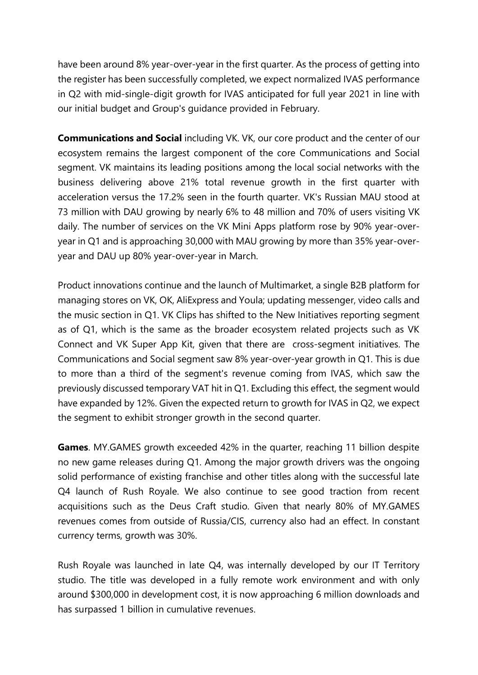have been around 8% year-over-year in the first quarter. As the process of getting into the register has been successfully completed, we expect normalized IVAS performance in Q2 with mid-single-digit growth for IVAS anticipated for full year 2021 in line with our initial budget and Group's guidance provided in February.

**Communications and Social** including VK. VK, our core product and the center of our ecosystem remains the largest component of the core Communications and Social segment. VK maintains its leading positions among the local social networks with the business delivering above 21% total revenue growth in the first quarter with acceleration versus the 17.2% seen in the fourth quarter. VK's Russian MAU stood at 73 million with DAU growing by nearly 6% to 48 million and 70% of users visiting VK daily. The number of services on the VK Mini Apps platform rose by 90% year-overyear in Q1 and is approaching 30,000 with MAU growing by more than 35% year-overyear and DAU up 80% year-over-year in March.

Product innovations continue and the launch of Multimarket, a single B2B platform for managing stores on VK, OK, AliExpress and Youla; updating messenger, video calls and the music section in Q1. VK Clips has shifted to the New Initiatives reporting segment as of Q1, which is the same as the broader ecosystem related projects such as VK Connect and VK Super App Kit, given that there are cross-segment initiatives. The Communications and Social segment saw 8% year-over-year growth in Q1. This is due to more than a third of the segment's revenue coming from IVAS, which saw the previously discussed temporary VAT hit in Q1. Excluding this effect, the segment would have expanded by 12%. Given the expected return to growth for IVAS in Q2, we expect the segment to exhibit stronger growth in the second quarter.

**Games**. MY.GAMES growth exceeded 42% in the quarter, reaching 11 billion despite no new game releases during Q1. Among the major growth drivers was the ongoing solid performance of existing franchise and other titles along with the successful late Q4 launch of Rush Royale. We also continue to see good traction from recent acquisitions such as the Deus Craft studio. Given that nearly 80% of MY.GAMES revenues comes from outside of Russia/CIS, currency also had an effect. In constant currency terms, growth was 30%.

Rush Royale was launched in late Q4, was internally developed by our IT Territory studio. The title was developed in a fully remote work environment and with only around \$300,000 in development cost, it is now approaching 6 million downloads and has surpassed 1 billion in cumulative revenues.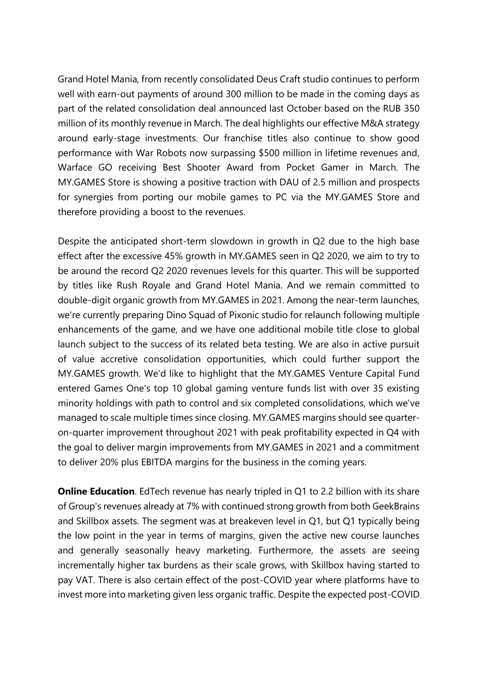Grand Hotel Mania, from recently consolidated Deus Craft studio continues to perform well with earn-out payments of around 300 million to be made in the coming days as part of the related consolidation deal announced last October based on the RUB 350 million of its monthly revenue in March. The deal highlights our effective M&A strategy around early-stage investments. Our franchise titles also continue to show good performance with War Robots now surpassing \$500 million in lifetime revenues and, Warface GO receiving Best Shooter Award from Pocket Gamer in March. The MY.GAMES Store is showing a positive traction with DAU of 2.5 million and prospects for synergies from porting our mobile games to PC via the MY.GAMES Store and therefore providing a boost to the revenues.

Despite the anticipated short-term slowdown in growth in Q2 due to the high base effect after the excessive 45% growth in MY.GAMES seen in Q2 2020, we aim to try to be around the record Q2 2020 revenues levels for this quarter. This will be supported by titles like Rush Royale and Grand Hotel Mania. And we remain committed to double-digit organic growth from MY.GAMES in 2021. Among the near-term launches, we're currently preparing Dino Squad of Pixonic studio for relaunch following multiple enhancements of the game, and we have one additional mobile title close to global launch subject to the success of its related beta testing. We are also in active pursuit of value accretive consolidation opportunities, which could further support the MY.GAMES growth. We'd like to highlight that the MY.GAMES Venture Capital Fund entered Games One's top 10 global gaming venture funds list with over 35 existing minority holdings with path to control and six completed consolidations, which we've managed to scale multiple times since closing. MY.GAMES margins should see quarteron-quarter improvement throughout 2021 with peak profitability expected in Q4 with the goal to deliver margin improvements from MY.GAMES in 2021 and a commitment to deliver 20% plus EBITDA margins for the business in the coming years.

**Online Education**. EdTech revenue has nearly tripled in Q1 to 2.2 billion with its share of Group's revenues already at 7% with continued strong growth from both GeekBrains and Skillbox assets. The segment was at breakeven level in Q1, but Q1 typically being the low point in the year in terms of margins, given the active new course launches and generally seasonally heavy marketing. Furthermore, the assets are seeing incrementally higher tax burdens as their scale grows, with Skillbox having started to pay VAT. There is also certain effect of the post-COVID year where platforms have to invest more into marketing given less organic traffic. Despite the expected post-COVID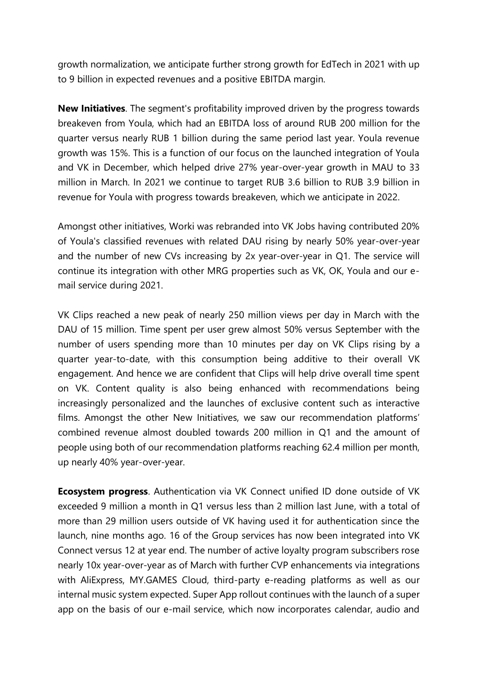growth normalization, we anticipate further strong growth for EdTech in 2021 with up to 9 billion in expected revenues and a positive EBITDA margin.

**New Initiatives**. The segment's profitability improved driven by the progress towards breakeven from Youla, which had an EBITDA loss of around RUB 200 million for the quarter versus nearly RUB 1 billion during the same period last year. Youla revenue growth was 15%. This is a function of our focus on the launched integration of Youla and VK in December, which helped drive 27% year-over-year growth in MAU to 33 million in March. In 2021 we continue to target RUB 3.6 billion to RUB 3.9 billion in revenue for Youla with progress towards breakeven, which we anticipate in 2022.

Amongst other initiatives, Worki was rebranded into VK Jobs having contributed 20% of Youla's classified revenues with related DAU rising by nearly 50% year-over-year and the number of new CVs increasing by 2x year-over-year in Q1. The service will continue its integration with other MRG properties such as VK, OK, Youla and our email service during 2021.

VK Clips reached a new peak of nearly 250 million views per day in March with the DAU of 15 million. Time spent per user grew almost 50% versus September with the number of users spending more than 10 minutes per day on VK Clips rising by a quarter year-to-date, with this consumption being additive to their overall VK engagement. And hence we are confident that Clips will help drive overall time spent on VK. Content quality is also being enhanced with recommendations being increasingly personalized and the launches of exclusive content such as interactive films. Amongst the other New Initiatives, we saw our recommendation platforms' combined revenue almost doubled towards 200 million in Q1 and the amount of people using both of our recommendation platforms reaching 62.4 million per month, up nearly 40% year-over-year.

**Ecosystem progress**. Authentication via VK Connect unified ID done outside of VK exceeded 9 million a month in Q1 versus less than 2 million last June, with a total of more than 29 million users outside of VK having used it for authentication since the launch, nine months ago. 16 of the Group services has now been integrated into VK Connect versus 12 at year end. The number of active loyalty program subscribers rose nearly 10x year-over-year as of March with further CVP enhancements via integrations with AliExpress, MY.GAMES Cloud, third-party e-reading platforms as well as our internal music system expected. Super App rollout continues with the launch of a super app on the basis of our e-mail service, which now incorporates calendar, audio and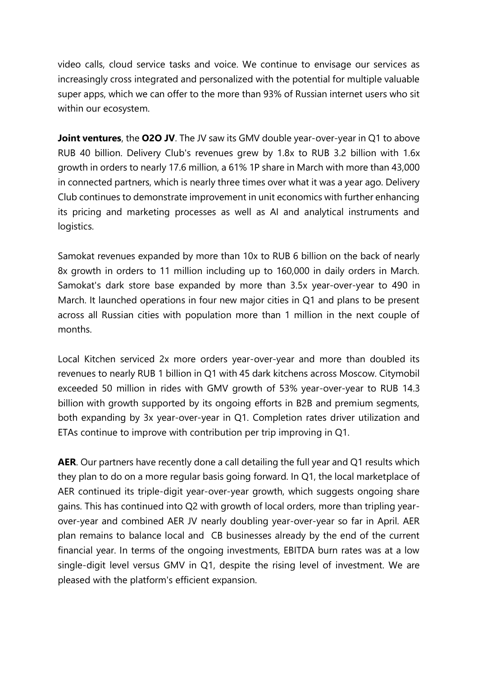video calls, cloud service tasks and voice. We continue to envisage our services as increasingly cross integrated and personalized with the potential for multiple valuable super apps, which we can offer to the more than 93% of Russian internet users who sit within our ecosystem.

**Joint ventures**, the **O2O JV**. The JV saw its GMV double year-over-year in Q1 to above RUB 40 billion. Delivery Club's revenues grew by 1.8x to RUB 3.2 billion with 1.6x growth in orders to nearly 17.6 million, a 61% 1P share in March with more than 43,000 in connected partners, which is nearly three times over what it was a year ago. Delivery Club continues to demonstrate improvement in unit economics with further enhancing its pricing and marketing processes as well as AI and analytical instruments and logistics.

Samokat revenues expanded by more than 10x to RUB 6 billion on the back of nearly 8x growth in orders to 11 million including up to 160,000 in daily orders in March. Samokat's dark store base expanded by more than 3.5x year-over-year to 490 in March. It launched operations in four new major cities in Q1 and plans to be present across all Russian cities with population more than 1 million in the next couple of months.

Local Kitchen serviced 2x more orders year-over-year and more than doubled its revenues to nearly RUB 1 billion in Q1 with 45 dark kitchens across Moscow. Citymobil exceeded 50 million in rides with GMV growth of 53% year-over-year to RUB 14.3 billion with growth supported by its ongoing efforts in B2B and premium segments, both expanding by 3x year-over-year in Q1. Completion rates driver utilization and ETAs continue to improve with contribution per trip improving in Q1.

AER. Our partners have recently done a call detailing the full year and Q1 results which they plan to do on a more regular basis going forward. In Q1, the local marketplace of AER continued its triple-digit year-over-year growth, which suggests ongoing share gains. This has continued into Q2 with growth of local orders, more than tripling yearover-year and combined AER JV nearly doubling year-over-year so far in April. AER plan remains to balance local and CB businesses already by the end of the current financial year. In terms of the ongoing investments, EBITDA burn rates was at a low single-digit level versus GMV in Q1, despite the rising level of investment. We are pleased with the platform's efficient expansion.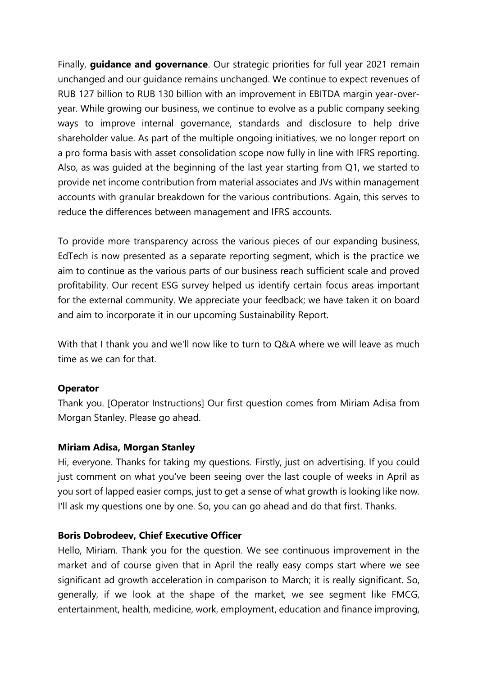Finally, **guidance and governance**. Our strategic priorities for full year 2021 remain unchanged and our guidance remains unchanged. We continue to expect revenues of RUB 127 billion to RUB 130 billion with an improvement in EBITDA margin year-overyear. While growing our business, we continue to evolve as a public company seeking ways to improve internal governance, standards and disclosure to help drive shareholder value. As part of the multiple ongoing initiatives, we no longer report on a pro forma basis with asset consolidation scope now fully in line with IFRS reporting. Also, as was guided at the beginning of the last year starting from Q1, we started to provide net income contribution from material associates and JVs within management accounts with granular breakdown for the various contributions. Again, this serves to reduce the differences between management and IFRS accounts.

To provide more transparency across the various pieces of our expanding business, EdTech is now presented as a separate reporting segment, which is the practice we aim to continue as the various parts of our business reach sufficient scale and proved profitability. Our recent ESG survey helped us identify certain focus areas important for the external community. We appreciate your feedback; we have taken it on board and aim to incorporate it in our upcoming Sustainability Report.

With that I thank you and we'll now like to turn to Q&A where we will leave as much time as we can for that.

# **Operator**

Thank you. [Operator Instructions] Our first question comes from Miriam Adisa from Morgan Stanley. Please go ahead.

#### **Miriam Adisa, Morgan Stanley**

Hi, everyone. Thanks for taking my questions. Firstly, just on advertising. If you could just comment on what you've been seeing over the last couple of weeks in April as you sort of lapped easier comps, just to get a sense of what growth is looking like now. I'll ask my questions one by one. So, you can go ahead and do that first. Thanks.

#### **Boris Dobrodeev, Chief Executive Officer**

Hello, Miriam. Thank you for the question. We see continuous improvement in the market and of course given that in April the really easy comps start where we see significant ad growth acceleration in comparison to March; it is really significant. So, generally, if we look at the shape of the market, we see segment like FMCG, entertainment, health, medicine, work, employment, education and finance improving,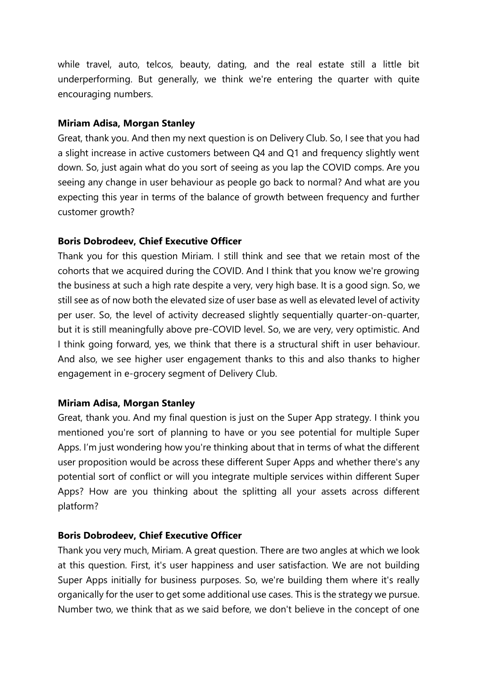while travel, auto, telcos, beauty, dating, and the real estate still a little bit underperforming. But generally, we think we're entering the quarter with quite encouraging numbers.

## **Miriam Adisa, Morgan Stanley**

Great, thank you. And then my next question is on Delivery Club. So, I see that you had a slight increase in active customers between Q4 and Q1 and frequency slightly went down. So, just again what do you sort of seeing as you lap the COVID comps. Are you seeing any change in user behaviour as people go back to normal? And what are you expecting this year in terms of the balance of growth between frequency and further customer growth?

## **Boris Dobrodeev, Chief Executive Officer**

Thank you for this question Miriam. I still think and see that we retain most of the cohorts that we acquired during the COVID. And I think that you know we're growing the business at such a high rate despite a very, very high base. It is a good sign. So, we still see as of now both the elevated size of user base as well as elevated level of activity per user. So, the level of activity decreased slightly sequentially quarter-on-quarter, but it is still meaningfully above pre-COVID level. So, we are very, very optimistic. And I think going forward, yes, we think that there is a structural shift in user behaviour. And also, we see higher user engagement thanks to this and also thanks to higher engagement in e-grocery segment of Delivery Club.

# **Miriam Adisa, Morgan Stanley**

Great, thank you. And my final question is just on the Super App strategy. I think you mentioned you're sort of planning to have or you see potential for multiple Super Apps. I'm just wondering how you're thinking about that in terms of what the different user proposition would be across these different Super Apps and whether there's any potential sort of conflict or will you integrate multiple services within different Super Apps? How are you thinking about the splitting all your assets across different platform?

#### **Boris Dobrodeev, Chief Executive Officer**

Thank you very much, Miriam. A great question. There are two angles at which we look at this question. First, it's user happiness and user satisfaction. We are not building Super Apps initially for business purposes. So, we're building them where it's really organically for the user to get some additional use cases. This is the strategy we pursue. Number two, we think that as we said before, we don't believe in the concept of one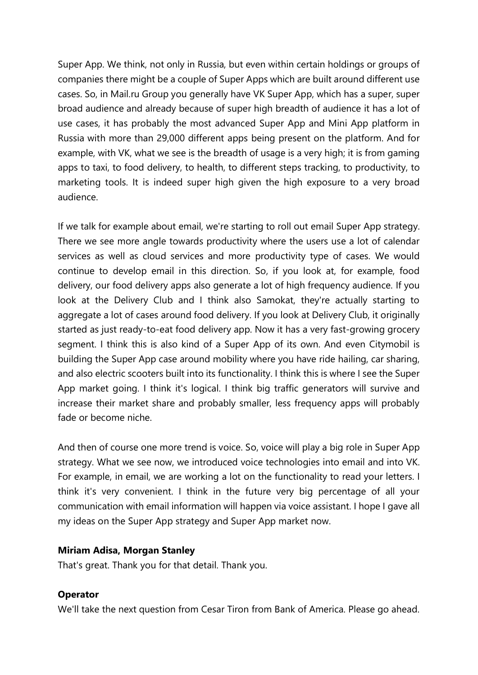Super App. We think, not only in Russia, but even within certain holdings or groups of companies there might be a couple of Super Apps which are built around different use cases. So, in Mail.ru Group you generally have VK Super App, which has a super, super broad audience and already because of super high breadth of audience it has a lot of use cases, it has probably the most advanced Super App and Mini App platform in Russia with more than 29,000 different apps being present on the platform. And for example, with VK, what we see is the breadth of usage is a very high; it is from gaming apps to taxi, to food delivery, to health, to different steps tracking, to productivity, to marketing tools. It is indeed super high given the high exposure to a very broad audience.

If we talk for example about email, we're starting to roll out email Super App strategy. There we see more angle towards productivity where the users use a lot of calendar services as well as cloud services and more productivity type of cases. We would continue to develop email in this direction. So, if you look at, for example, food delivery, our food delivery apps also generate a lot of high frequency audience. If you look at the Delivery Club and I think also Samokat, they're actually starting to aggregate a lot of cases around food delivery. If you look at Delivery Club, it originally started as just ready-to-eat food delivery app. Now it has a very fast-growing grocery segment. I think this is also kind of a Super App of its own. And even Citymobil is building the Super App case around mobility where you have ride hailing, car sharing, and also electric scooters built into its functionality. I think this is where I see the Super App market going. I think it's logical. I think big traffic generators will survive and increase their market share and probably smaller, less frequency apps will probably fade or become niche.

And then of course one more trend is voice. So, voice will play a big role in Super App strategy. What we see now, we introduced voice technologies into email and into VK. For example, in email, we are working a lot on the functionality to read your letters. I think it's very convenient. I think in the future very big percentage of all your communication with email information will happen via voice assistant. I hope I gave all my ideas on the Super App strategy and Super App market now.

#### **Miriam Adisa, Morgan Stanley**

That's great. Thank you for that detail. Thank you.

# **Operator**

We'll take the next question from Cesar Tiron from Bank of America. Please go ahead.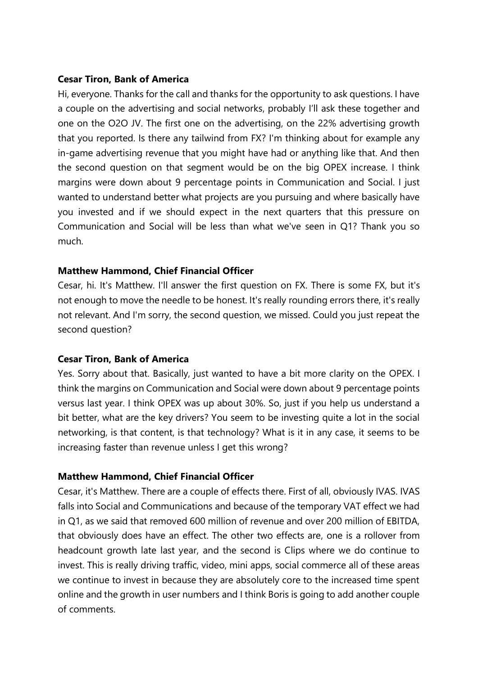## **Cesar Tiron, Bank of America**

Hi, everyone. Thanks for the call and thanks for the opportunity to ask questions. I have a couple on the advertising and social networks, probably I'll ask these together and one on the O2O JV. The first one on the advertising, on the 22% advertising growth that you reported. Is there any tailwind from FX? I'm thinking about for example any in-game advertising revenue that you might have had or anything like that. And then the second question on that segment would be on the big OPEX increase. I think margins were down about 9 percentage points in Communication and Social. I just wanted to understand better what projects are you pursuing and where basically have you invested and if we should expect in the next quarters that this pressure on Communication and Social will be less than what we've seen in Q1? Thank you so much.

# **Matthew Hammond, Chief Financial Officer**

Cesar, hi. It's Matthew. I'll answer the first question on FX. There is some FX, but it's not enough to move the needle to be honest. It's really rounding errors there, it's really not relevant. And I'm sorry, the second question, we missed. Could you just repeat the second question?

## **Cesar Tiron, Bank of America**

Yes. Sorry about that. Basically, just wanted to have a bit more clarity on the OPEX. I think the margins on Communication and Social were down about 9 percentage points versus last year. I think OPEX was up about 30%. So, just if you help us understand a bit better, what are the key drivers? You seem to be investing quite a lot in the social networking, is that content, is that technology? What is it in any case, it seems to be increasing faster than revenue unless I get this wrong?

#### **Matthew Hammond, Chief Financial Officer**

Cesar, it's Matthew. There are a couple of effects there. First of all, obviously IVAS. IVAS falls into Social and Communications and because of the temporary VAT effect we had in Q1, as we said that removed 600 million of revenue and over 200 million of EBITDA, that obviously does have an effect. The other two effects are, one is a rollover from headcount growth late last year, and the second is Clips where we do continue to invest. This is really driving traffic, video, mini apps, social commerce all of these areas we continue to invest in because they are absolutely core to the increased time spent online and the growth in user numbers and I think Boris is going to add another couple of comments.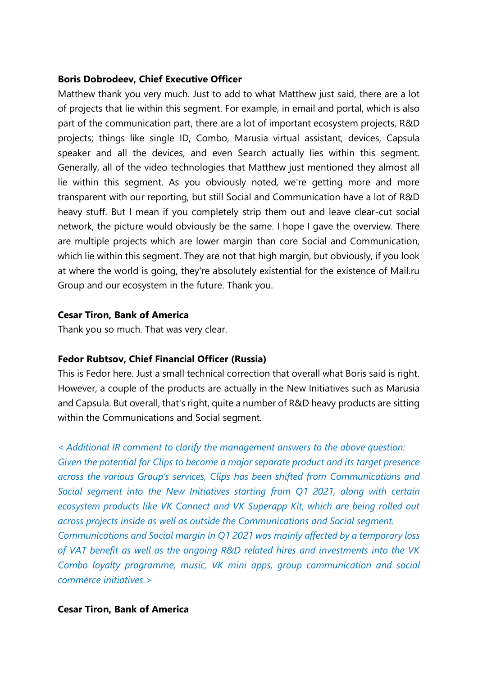## **Boris Dobrodeev, Chief Executive Officer**

Matthew thank you very much. Just to add to what Matthew just said, there are a lot of projects that lie within this segment. For example, in email and portal, which is also part of the communication part, there are a lot of important ecosystem projects, R&D projects; things like single ID, Combo, Marusia virtual assistant, devices, Capsula speaker and all the devices, and even Search actually lies within this segment. Generally, all of the video technologies that Matthew just mentioned they almost all lie within this segment. As you obviously noted, we're getting more and more transparent with our reporting, but still Social and Communication have a lot of R&D heavy stuff. But I mean if you completely strip them out and leave clear-cut social network, the picture would obviously be the same. I hope I gave the overview. There are multiple projects which are lower margin than core Social and Communication, which lie within this segment. They are not that high margin, but obviously, if you look at where the world is going, they're absolutely existential for the existence of Mail.ru Group and our ecosystem in the future. Thank you.

## **Cesar Tiron, Bank of America**

Thank you so much. That was very clear.

# **Fedor Rubtsov, Chief Financial Officer (Russia)**

This is Fedor here. Just a small technical correction that overall what Boris said is right. However, a couple of the products are actually in the New Initiatives such as Marusia and Сapsula. But overall, that's right, quite a number of R&D heavy products are sitting within the Communications and Social segment.

#### *< Additional IR comment to clarify the management answers to the above question:*

*Given the potential for Clips to become a major separate product and its target presence across the various Group's services, Clips has been shifted from Communications and Social segment into the New Initiatives starting from Q1 2021, along with certain ecosystem products like VK Connect and VK Superapp Kit, which are being rolled out across projects inside as well as outside the Communications and Social segment.* 

*Communications and Social margin in Q1 2021 was mainly affected by a temporary loss of VAT benefit as well as the ongoing R&D related hires and investments into the VK Combo loyalty programme, music, VK mini apps, group communication and social commerce initiatives.>*

#### **Cesar Tiron, Bank of America**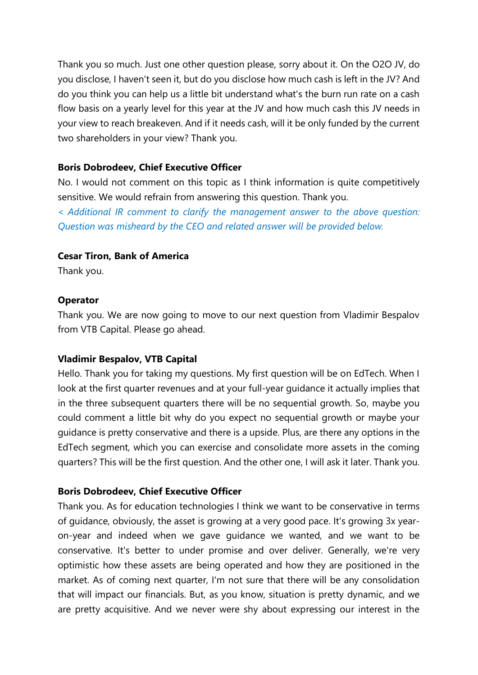Thank you so much. Just one other question please, sorry about it. On the O2O JV, do you disclose, I haven't seen it, but do you disclose how much cash is left in the JV? And do you think you can help us a little bit understand what's the burn run rate on a cash flow basis on a yearly level for this year at the JV and how much cash this JV needs in your view to reach breakeven. And if it needs cash, will it be only funded by the current two shareholders in your view? Thank you.

## **Boris Dobrodeev, Chief Executive Officer**

No. I would not comment on this topic as I think information is quite competitively sensitive. We would refrain from answering this question. Thank you.

*< Additional IR comment to clarify the management answer to the above question: Question was misheard by the CEO and related answer will be provided below.*

# **Cesar Tiron, Bank of America**

Thank you.

## **Operator**

Thank you. We are now going to move to our next question from Vladimir Bespalov from VTB Capital. Please go ahead.

#### **Vladimir Bespalov, VTB Capital**

Hello. Thank you for taking my questions. My first question will be on EdTech. When I look at the first quarter revenues and at your full-year guidance it actually implies that in the three subsequent quarters there will be no sequential growth. So, maybe you could comment a little bit why do you expect no sequential growth or maybe your guidance is pretty conservative and there is a upside. Plus, are there any options in the EdTech segment, which you can exercise and consolidate more assets in the coming quarters? This will be the first question. And the other one, I will ask it later. Thank you.

#### **Boris Dobrodeev, Chief Executive Officer**

Thank you. As for education technologies I think we want to be conservative in terms of guidance, obviously, the asset is growing at a very good pace. It's growing 3x yearon-year and indeed when we gave guidance we wanted, and we want to be conservative. It's better to under promise and over deliver. Generally, we're very optimistic how these assets are being operated and how they are positioned in the market. As of coming next quarter, I'm not sure that there will be any consolidation that will impact our financials. But, as you know, situation is pretty dynamic, and we are pretty acquisitive. And we never were shy about expressing our interest in the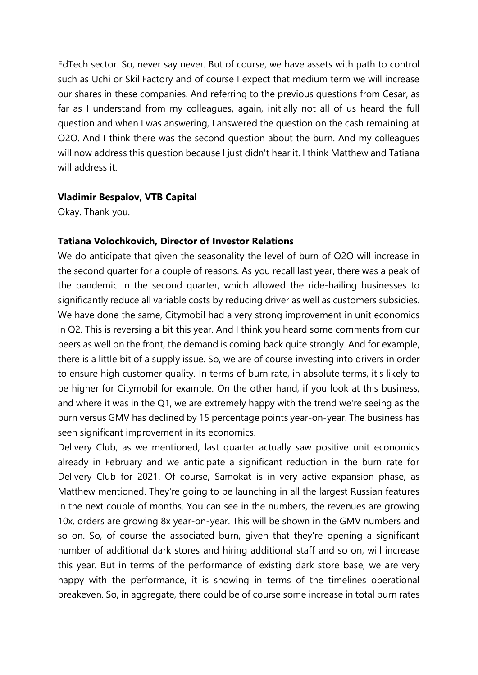EdTech sector. So, never say never. But of course, we have assets with path to control such as Uchi or SkillFactory and of course I expect that medium term we will increase our shares in these companies. And referring to the previous questions from Cesar, as far as I understand from my colleagues, again, initially not all of us heard the full question and when I was answering, I answered the question on the cash remaining at O2O. And I think there was the second question about the burn. And my colleagues will now address this question because I just didn't hear it. I think Matthew and Tatiana will address it.

#### **Vladimir Bespalov, VTB Capital**

Okay. Thank you.

## **Tatiana Volochkovich, Director of Investor Relations**

We do anticipate that given the seasonality the level of burn of O2O will increase in the second quarter for a couple of reasons. As you recall last year, there was a peak of the pandemic in the second quarter, which allowed the ride-hailing businesses to significantly reduce all variable costs by reducing driver as well as customers subsidies. We have done the same, Citymobil had a very strong improvement in unit economics in Q2. This is reversing a bit this year. And I think you heard some comments from our peers as well on the front, the demand is coming back quite strongly. And for example, there is a little bit of a supply issue. So, we are of course investing into drivers in order to ensure high customer quality. In terms of burn rate, in absolute terms, it's likely to be higher for Citymobil for example. On the other hand, if you look at this business, and where it was in the Q1, we are extremely happy with the trend we're seeing as the burn versus GMV has declined by 15 percentage points year-on-year. The business has seen significant improvement in its economics.

Delivery Club, as we mentioned, last quarter actually saw positive unit economics already in February and we anticipate a significant reduction in the burn rate for Delivery Club for 2021. Of course, Samokat is in very active expansion phase, as Matthew mentioned. They're going to be launching in all the largest Russian features in the next couple of months. You can see in the numbers, the revenues are growing 10x, orders are growing 8x year-on-year. This will be shown in the GMV numbers and so on. So, of course the associated burn, given that they're opening a significant number of additional dark stores and hiring additional staff and so on, will increase this year. But in terms of the performance of existing dark store base, we are very happy with the performance, it is showing in terms of the timelines operational breakeven. So, in aggregate, there could be of course some increase in total burn rates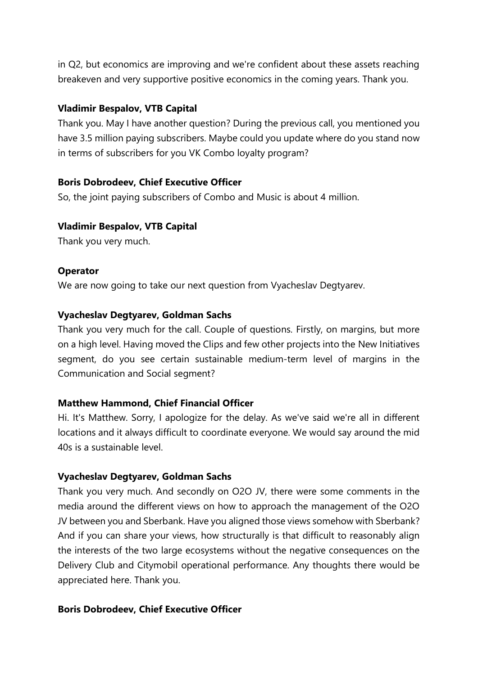in Q2, but economics are improving and we're confident about these assets reaching breakeven and very supportive positive economics in the coming years. Thank you.

## **Vladimir Bespalov, VTB Capital**

Thank you. May I have another question? During the previous call, you mentioned you have 3.5 million paying subscribers. Maybe could you update where do you stand now in terms of subscribers for you VK Combo loyalty program?

#### **Boris Dobrodeev, Chief Executive Officer**

So, the joint paying subscribers of Combo and Music is about 4 million.

# **Vladimir Bespalov, VTB Capital**

Thank you very much.

## **Operator**

We are now going to take our next question from Vyacheslav Degtyarev.

# **Vyacheslav Degtyarev, Goldman Sachs**

Thank you very much for the call. Couple of questions. Firstly, on margins, but more on a high level. Having moved the Clips and few other projects into the New Initiatives segment, do you see certain sustainable medium-term level of margins in the Communication and Social segment?

# **Matthew Hammond, Chief Financial Officer**

Hi. It's Matthew. Sorry, I apologize for the delay. As we've said we're all in different locations and it always difficult to coordinate everyone. We would say around the mid 40s is a sustainable level.

#### **Vyacheslav Degtyarev, Goldman Sachs**

Thank you very much. And secondly on O2O JV, there were some comments in the media around the different views on how to approach the management of the O2O JV between you and Sberbank. Have you aligned those views somehow with Sberbank? And if you can share your views, how structurally is that difficult to reasonably align the interests of the two large ecosystems without the negative consequences on the Delivery Club and Citymobil operational performance. Any thoughts there would be appreciated here. Thank you.

#### **Boris Dobrodeev, Chief Executive Officer**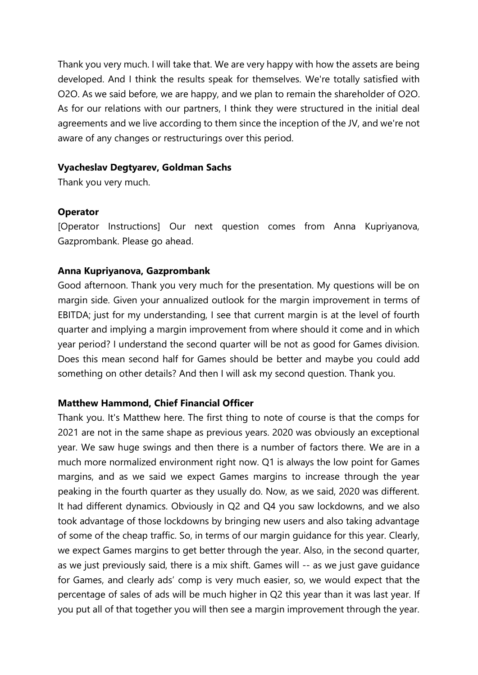Thank you very much. I will take that. We are very happy with how the assets are being developed. And I think the results speak for themselves. We're totally satisfied with O2O. As we said before, we are happy, and we plan to remain the shareholder of O2O. As for our relations with our partners, I think they were structured in the initial deal agreements and we live according to them since the inception of the JV, and we're not aware of any changes or restructurings over this period.

## **Vyacheslav Degtyarev, Goldman Sachs**

Thank you very much.

## **Operator**

[Operator Instructions] Our next question comes from Anna Kupriyanova, Gazprombank. Please go ahead.

# **Anna Kupriyanova, Gazprombank**

Good afternoon. Thank you very much for the presentation. My questions will be on margin side. Given your annualized outlook for the margin improvement in terms of EBITDA; just for my understanding, I see that current margin is at the level of fourth quarter and implying a margin improvement from where should it come and in which year period? I understand the second quarter will be not as good for Games division. Does this mean second half for Games should be better and maybe you could add something on other details? And then I will ask my second question. Thank you.

# **Matthew Hammond, Chief Financial Officer**

Thank you. It's Matthew here. The first thing to note of course is that the comps for 2021 are not in the same shape as previous years. 2020 was obviously an exceptional year. We saw huge swings and then there is a number of factors there. We are in a much more normalized environment right now. Q1 is always the low point for Games margins, and as we said we expect Games margins to increase through the year peaking in the fourth quarter as they usually do. Now, as we said, 2020 was different. It had different dynamics. Obviously in Q2 and Q4 you saw lockdowns, and we also took advantage of those lockdowns by bringing new users and also taking advantage of some of the cheap traffic. So, in terms of our margin guidance for this year. Clearly, we expect Games margins to get better through the year. Also, in the second quarter, as we just previously said, there is a mix shift. Games will -- as we just gave guidance for Games, and clearly ads' comp is very much easier, so, we would expect that the percentage of sales of ads will be much higher in Q2 this year than it was last year. If you put all of that together you will then see a margin improvement through the year.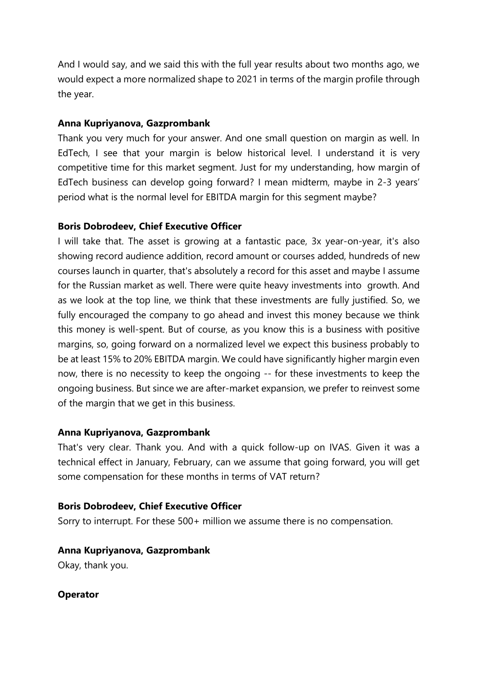And I would say, and we said this with the full year results about two months ago, we would expect a more normalized shape to 2021 in terms of the margin profile through the year.

## **Anna Kupriyanova, Gazprombank**

Thank you very much for your answer. And one small question on margin as well. In EdTech, I see that your margin is below historical level. I understand it is very competitive time for this market segment. Just for my understanding, how margin of EdTech business can develop going forward? I mean midterm, maybe in 2-3 years' period what is the normal level for EBITDA margin for this segment maybe?

## **Boris Dobrodeev, Chief Executive Officer**

I will take that. The asset is growing at a fantastic pace, 3x year-on-year, it's also showing record audience addition, record amount or courses added, hundreds of new courses launch in quarter, that's absolutely a record for this asset and maybe I assume for the Russian market as well. There were quite heavy investments into growth. And as we look at the top line, we think that these investments are fully justified. So, we fully encouraged the company to go ahead and invest this money because we think this money is well-spent. But of course, as you know this is a business with positive margins, so, going forward on a normalized level we expect this business probably to be at least 15% to 20% EBITDA margin. We could have significantly higher margin even now, there is no necessity to keep the ongoing -- for these investments to keep the ongoing business. But since we are after-market expansion, we prefer to reinvest some of the margin that we get in this business.

# **Anna Kupriyanova, Gazprombank**

That's very clear. Thank you. And with a quick follow-up on IVAS. Given it was a technical effect in January, February, can we assume that going forward, you will get some compensation for these months in terms of VAT return?

#### **Boris Dobrodeev, Chief Executive Officer**

Sorry to interrupt. For these 500+ million we assume there is no compensation.

**Anna Kupriyanova, Gazprombank**

Okay, thank you.

**Operator**